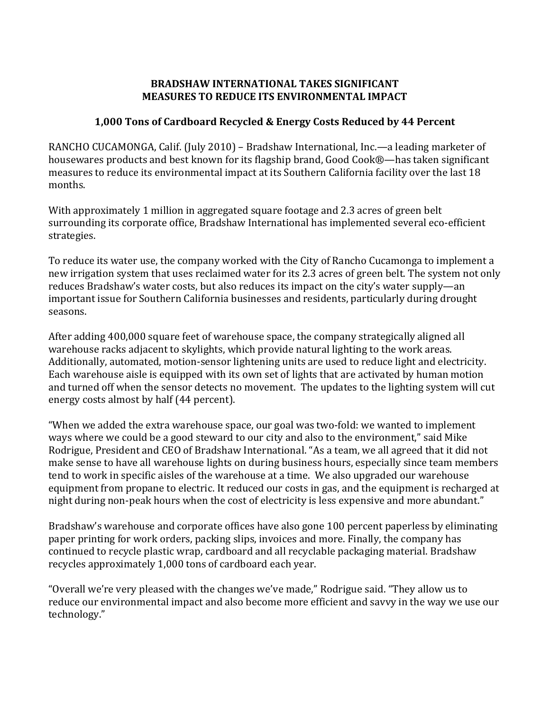## **BRADSHAW INTERNATIONAL TAKES SIGNIFICANT MEASURES TO REDUCE ITS ENVIRONMENTAL IMPACT**

## **1,000 Tons of Cardboard Recycled & Energy Costs Reduced by 44 Percent**

RANCHO CUCAMONGA, Calif. (July 2010) – Bradshaw International, Inc.—a leading marketer of housewares products and best known for its flagship brand, Good Cook®—has taken significant measures to reduce its environmental impact at its Southern California facility over the last 18 months.

With approximately 1 million in aggregated square footage and 2.3 acres of green belt surrounding its corporate office, Bradshaw International has implemented several eco-efficient strategies.

To reduce its water use, the company worked with the City of Rancho Cucamonga to implement a new irrigation system that uses reclaimed water for its 2.3 acres of green belt. The system not only reduces Bradshaw's water costs, but also reduces its impact on the city's water supply—an important issue for Southern California businesses and residents, particularly during drought seasons.

After adding 400,000 square feet of warehouse space, the company strategically aligned all warehouse racks adjacent to skylights, which provide natural lighting to the work areas. Additionally, automated, motion-sensor lightening units are used to reduce light and electricity. Each warehouse aisle is equipped with its own set of lights that are activated by human motion and turned off when the sensor detects no movement. The updates to the lighting system will cut energy costs almost by half (44 percent).

"When we added the extra warehouse space, our goal was two-fold: we wanted to implement ways where we could be a good steward to our city and also to the environment," said Mike Rodrigue, President and CEO of Bradshaw International. "As a team, we all agreed that it did not make sense to have all warehouse lights on during business hours, especially since team members tend to work in specific aisles of the warehouse at a time. We also upgraded our warehouse equipment from propane to electric. It reduced our costs in gas, and the equipment is recharged at night during non-peak hours when the cost of electricity is less expensive and more abundant."

Bradshaw's warehouse and corporate offices have also gone 100 percent paperless by eliminating paper printing for work orders, packing slips, invoices and more. Finally, the company has continued to recycle plastic wrap, cardboard and all recyclable packaging material. Bradshaw recycles approximately 1,000 tons of cardboard each year.

"Overall we're very pleased with the changes we've made," Rodrigue said. "They allow us to reduce our environmental impact and also become more efficient and savvy in the way we use our technology."